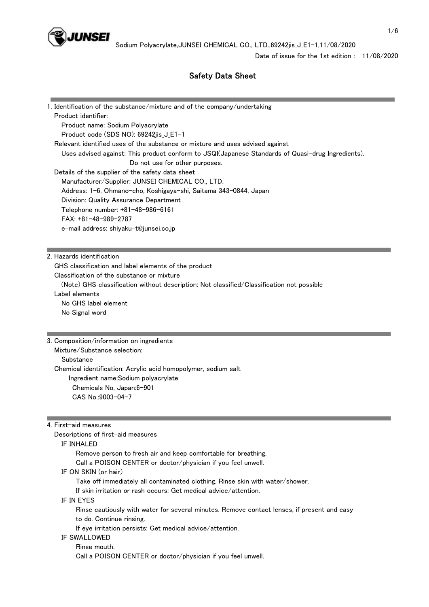

Date of issue for the 1st edition : 11/08/2020

# Safety Data Sheet

| 1. Identification of the substance/mixture and of the company/undertaking                                               |                                                                                                   |
|-------------------------------------------------------------------------------------------------------------------------|---------------------------------------------------------------------------------------------------|
| Product identifier:                                                                                                     |                                                                                                   |
| Product name: Sodium Polyacrylate                                                                                       |                                                                                                   |
| Product code (SDS NO): 69242jis_J_E1-1<br>Relevant identified uses of the substance or mixture and uses advised against |                                                                                                   |
|                                                                                                                         | Uses advised against: This product conform to JSQI(Japanese Standards of Quasi-drug Ingredients). |
| Do not use for other purposes.                                                                                          |                                                                                                   |
| Details of the supplier of the safety data sheet                                                                        |                                                                                                   |
| Manufacturer/Supplier: JUNSEI CHEMICAL CO., LTD.                                                                        |                                                                                                   |
| Address: 1-6, Ohmano-cho, Koshigaya-shi, Saitama 343-0844, Japan                                                        |                                                                                                   |
| Division: Quality Assurance Department                                                                                  |                                                                                                   |
| Telephone number: +81-48-986-6161                                                                                       |                                                                                                   |
| $FAX: +81-48-989-2787$                                                                                                  |                                                                                                   |
| e-mail address: shiyaku-t@junsei.co.jp                                                                                  |                                                                                                   |
|                                                                                                                         |                                                                                                   |
| 2. Hazards identification                                                                                               |                                                                                                   |
| GHS classification and label elements of the product                                                                    |                                                                                                   |
| Classification of the substance or mixture                                                                              |                                                                                                   |
| (Note) GHS classification without description: Not classified/Classification not possible                               |                                                                                                   |
| Label elements                                                                                                          |                                                                                                   |

 No GHS label element No Signal word

#### 3. Composition/information on ingredients

 Mixture/Substance selection: **Substance**  Chemical identification: Acrylic acid homopolymer, sodium salt Ingredient name:Sodium polyacrylate Chemicals No, Japan:6-901 CAS No.:9003-04-7

4. First-aid measures

Descriptions of first-aid measures

#### IF INHALED

 Remove person to fresh air and keep comfortable for breathing. Call a POISON CENTER or doctor/physician if you feel unwell.

IF ON SKIN (or hair)

Take off immediately all contaminated clothing. Rinse skin with water/shower.

If skin irritation or rash occurs: Get medical advice/attention.

IF IN EYES

 Rinse cautiously with water for several minutes. Remove contact lenses, if present and easy to do. Continue rinsing.

If eye irritation persists: Get medical advice/attention.

#### IF SWALLOWED

 Rinse mouth. Call a POISON CENTER or doctor/physician if you feel unwell.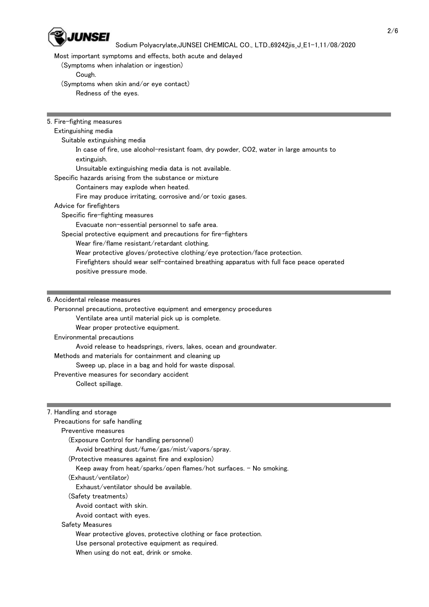

## Sodium Polyacrylate,JUNSEI CHEMICAL CO., LTD.,69242jis J E1-1,11/08/2020

Most important symptoms and effects, both acute and delayed

(Symptoms when inhalation or ingestion)

Cough.

 (Symptoms when skin and/or eye contact) Redness of the eyes.

5. Fire-fighting measures

#### Extinguishing media

Suitable extinguishing media

 In case of fire, use alcohol-resistant foam, dry powder, CO2, water in large amounts to extinguish.

Unsuitable extinguishing media data is not available.

Specific hazards arising from the substance or mixture

## Containers may explode when heated.

Fire may produce irritating, corrosive and/or toxic gases.

## Advice for firefighters

Specific fire-fighting measures

Evacuate non-essential personnel to safe area.

Special protective equipment and precautions for fire-fighters

Wear fire/flame resistant/retardant clothing.

Wear protective gloves/protective clothing/eye protection/face protection.

 Firefighters should wear self-contained breathing apparatus with full face peace operated positive pressure mode.

6. Accidental release measures

 Personnel precautions, protective equipment and emergency procedures Ventilate area until material pick up is complete. Wear proper protective equipment. Environmental precautions Avoid release to headsprings, rivers, lakes, ocean and groundwater. Methods and materials for containment and cleaning up Sweep up, place in a bag and hold for waste disposal. Preventive measures for secondary accident Collect spillage.

## 7. Handling and storage

| Precautions for safe handling                                                                                                                                                                                                  |
|--------------------------------------------------------------------------------------------------------------------------------------------------------------------------------------------------------------------------------|
| Preventive measures                                                                                                                                                                                                            |
| (Exposure Control for handling personnel)                                                                                                                                                                                      |
| Avoid breathing dust/fume/gas/mist/vapors/spray.                                                                                                                                                                               |
| (Protective measures against fire and explosion)                                                                                                                                                                               |
| Keep away from heat/sparks/open flames/hot surfaces. - No smoking.                                                                                                                                                             |
| (Exhaust/ventilator)                                                                                                                                                                                                           |
| Exhaust/ventilator should be available.                                                                                                                                                                                        |
| (Safetv treatments)                                                                                                                                                                                                            |
| Avoid contact with skin.                                                                                                                                                                                                       |
| Avoid contact with eyes.                                                                                                                                                                                                       |
| Safety Measures                                                                                                                                                                                                                |
| Wear protective gloves, protective clothing or face protection.                                                                                                                                                                |
| Use personal protective equipment as required.                                                                                                                                                                                 |
| AAN aan aan dalama dagaal dadka dagaal dagaal dagaal dagaal dagaal dagaal dagaal dagaal dagaal dagaal dagaal dagaal dagaal dagaal dagaal dagaal dagaal dagaal dagaal dagaal dagaal dagaal dagaal dagaal dagaal dagaal dagaal d |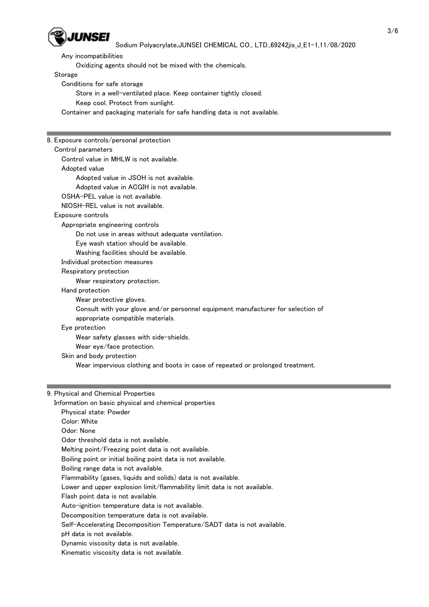

Sodium Polyacrylate,JUNSEI CHEMICAL CO., LTD.,69242jis J E1-1,11/08/2020

Any incompatibilities

Oxidizing agents should not be mixed with the chemicals.

Storage

Conditions for safe storage

Store in a well-ventilated place. Keep container tightly closed.

Keep cool. Protect from sunlight.

Container and packaging materials for safe handling data is not available.

8. Exposure controls/personal protection Control parameters Control value in MHLW is not available.

Adopted value

Adopted value in JSOH is not available.

Adopted value in ACGIH is not available.

OSHA-PEL value is not available.

NIOSH-REL value is not available.

Exposure controls

Appropriate engineering controls

Do not use in areas without adequate ventilation.

Eye wash station should be available.

Washing facilities should be available.

Individual protection measures

Respiratory protection

Wear respiratory protection.

Hand protection

Wear protective gloves.

 Consult with your glove and/or personnel equipment manufacturer for selection of appropriate compatible materials.

## Eye protection

Wear safety glasses with side-shields.

Wear eye/face protection.

Skin and body protection

Wear impervious clothing and boots in case of repeated or prolonged treatment.

#### 9. Physical and Chemical Properties

 Information on basic physical and chemical properties Physical state: Powder Color: White Odor: None Odor threshold data is not available. Melting point/Freezing point data is not available. Boiling point or initial boiling point data is not available. Boiling range data is not available. Flammability (gases, liquids and solids) data is not available. Lower and upper explosion limit/flammability limit data is not available. Flash point data is not available. Auto-ignition temperature data is not available. Decomposition temperature data is not available. Self-Accelerating Decomposition Temperature/SADT data is not available. pH data is not available. Dynamic viscosity data is not available.

Kinematic viscosity data is not available.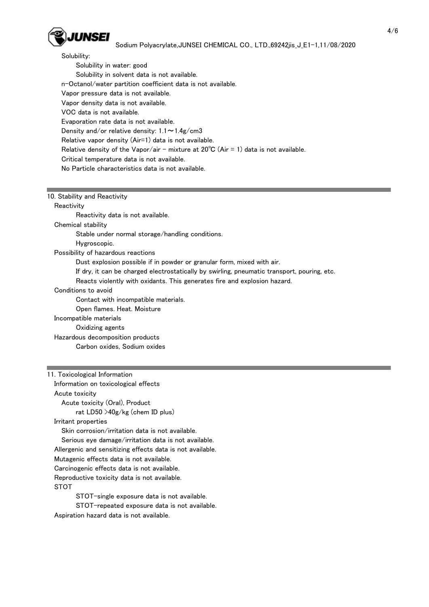

## Sodium Polyacrylate,JUNSEI CHEMICAL CO., LTD.,69242jis J E1-1,11/08/2020

Solubility:

 Solubility in water: good Solubility in solvent data is not available. n-Octanol/water partition coefficient data is not available. Vapor pressure data is not available. Vapor density data is not available. VOC data is not available. Evaporation rate data is not available. Density and/or relative density:  $1.1 \sim 1.4$ g/cm3 Relative vapor density (Air=1) data is not available. Relative density of the Vapor/air - mixture at  $20^{\circ}C$  (Air = 1) data is not available. Critical temperature data is not available. No Particle characteristics data is not available.

#### 10. Stability and Reactivity

**Reactivity** 

Reactivity data is not available.

Chemical stability

Stable under normal storage/handling conditions.

Hygroscopic.

Possibility of hazardous reactions

Dust explosion possible if in powder or granular form, mixed with air.

If dry, it can be charged electrostatically by swirling, pneumatic transport, pouring, etc.

Reacts violently with oxidants. This generates fire and explosion hazard.

Conditions to avoid

Contact with incompatible materials.

Open flames. Heat. Moisture

#### Incompatible materials

Oxidizing agents

 Hazardous decomposition products Carbon oxides, Sodium oxides

## 11. Toxicological Information

 Information on toxicological effects Acute toxicity Acute toxicity (Oral), Product rat LD50 >40g/kg (chem ID plus) Irritant properties Skin corrosion/irritation data is not available. Serious eye damage/irritation data is not available. Allergenic and sensitizing effects data is not available. Mutagenic effects data is not available. Carcinogenic effects data is not available. Reproductive toxicity data is not available. STOT STOT-single exposure data is not available. STOT-repeated exposure data is not available.

Aspiration hazard data is not available.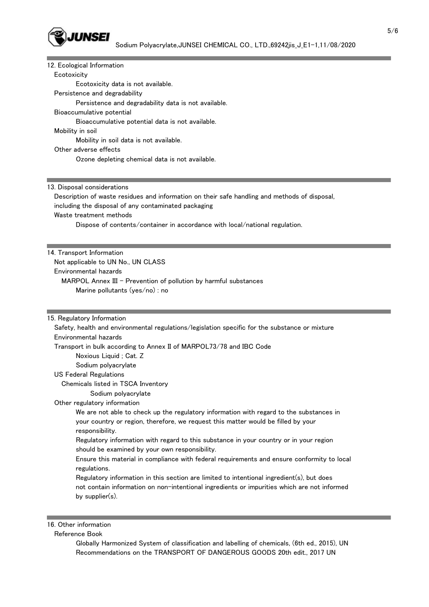

| 12. Ecological Information                                                                     |
|------------------------------------------------------------------------------------------------|
| Ecotoxicity                                                                                    |
| Ecotoxicity data is not available.                                                             |
| Persistence and degradability                                                                  |
| Persistence and degradability data is not available.                                           |
| Bioaccumulative potential                                                                      |
| Bioaccumulative potential data is not available.                                               |
| Mobility in soil                                                                               |
| Mobility in soil data is not available.                                                        |
| Other adverse effects                                                                          |
| Ozone depleting chemical data is not available.                                                |
|                                                                                                |
|                                                                                                |
| 13. Disposal considerations                                                                    |
| Description of waste residues and information on their safe handling and methods of disposal,  |
| including the disposal of any contaminated packaging                                           |
| Waste treatment methods                                                                        |
| Dispose of contents/container in accordance with local/national regulation.                    |
|                                                                                                |
| 14. Transport Information                                                                      |
| Not applicable to UN No., UN CLASS                                                             |
| Environmental hazards                                                                          |
| MARPOL Annex III - Prevention of pollution by harmful substances                               |
| Marine pollutants (yes/no) : no                                                                |
|                                                                                                |
|                                                                                                |
| 15. Regulatory Information                                                                     |
| Safety, health and environmental regulations/legislation specific for the substance or mixture |
| Environmental hazards                                                                          |
| Transport in bulk according to Annex II of MARPOL73/78 and IBC Code                            |
| Noxious Liquid; Cat. Z                                                                         |
| Sodium polyacrylate                                                                            |
| <b>US Federal Regulations</b>                                                                  |
| Chemicals listed in TSCA Inventory                                                             |
| Sodium polyacrylate                                                                            |
| Other regulatory information                                                                   |
| We are not able to check up the regulatory information with regard to the substances in        |
| your country or region, therefore, we request this matter would be filled by your              |
| responsibility.                                                                                |
| Regulatory information with regard to this substance in your country or in your region         |
| should be examined by your own responsibility.                                                 |
| Ensure this material in compliance with federal requirements and ensure conformity to local    |
| regulations.                                                                                   |
| Regulatory information in this section are limited to intentional ingredient(s), but does      |
| not contain information on non-intentional ingredients or impurities which are not informed    |
| by supplier(s).                                                                                |
|                                                                                                |
|                                                                                                |
| 16. Other information                                                                          |

Reference Book

 Globally Harmonized System of classification and labelling of chemicals, (6th ed., 2015), UN Recommendations on the TRANSPORT OF DANGEROUS GOODS 20th edit., 2017 UN